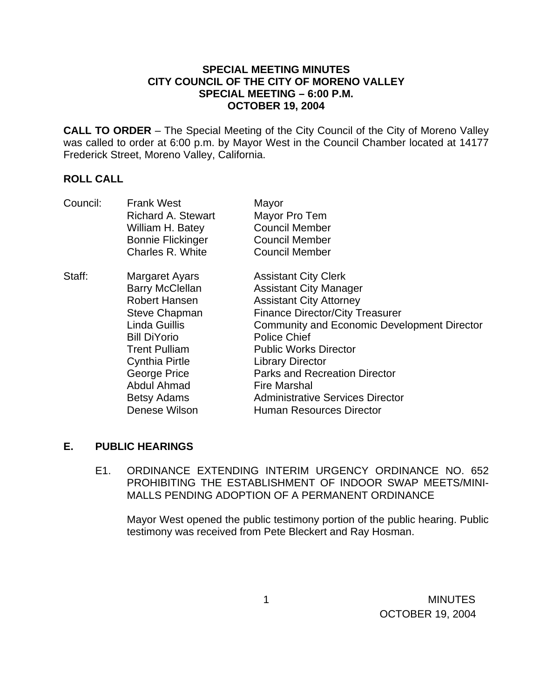## **SPECIAL MEETING MINUTES CITY COUNCIL OF THE CITY OF MORENO VALLEY SPECIAL MEETING – 6:00 P.M. OCTOBER 19, 2004**

**CALL TO ORDER** – The Special Meeting of the City Council of the City of Moreno Valley was called to order at 6:00 p.m. by Mayor West in the Council Chamber located at 14177 Frederick Street, Moreno Valley, California.

## **ROLL CALL**

| Council: | <b>Frank West</b>         | Mayor                                              |
|----------|---------------------------|----------------------------------------------------|
|          | <b>Richard A. Stewart</b> | Mayor Pro Tem                                      |
|          | William H. Batey          | <b>Council Member</b>                              |
|          | <b>Bonnie Flickinger</b>  | <b>Council Member</b>                              |
|          | Charles R. White          | <b>Council Member</b>                              |
| Staff:   | Margaret Ayars            | <b>Assistant City Clerk</b>                        |
|          | <b>Barry McClellan</b>    | <b>Assistant City Manager</b>                      |
|          | <b>Robert Hansen</b>      | <b>Assistant City Attorney</b>                     |
|          | <b>Steve Chapman</b>      | <b>Finance Director/City Treasurer</b>             |
|          | Linda Guillis             | <b>Community and Economic Development Director</b> |
|          | <b>Bill DiYorio</b>       | <b>Police Chief</b>                                |
|          | <b>Trent Pulliam</b>      | <b>Public Works Director</b>                       |
|          | <b>Cynthia Pirtle</b>     | <b>Library Director</b>                            |
|          | George Price              | <b>Parks and Recreation Director</b>               |
|          | Abdul Ahmad               | <b>Fire Marshal</b>                                |
|          | <b>Betsy Adams</b>        | <b>Administrative Services Director</b>            |
|          | Denese Wilson             | Human Resources Director                           |

## **E. PUBLIC HEARINGS**

E1. ORDINANCE EXTENDING INTERIM URGENCY ORDINANCE NO. 652 PROHIBITING THE ESTABLISHMENT OF INDOOR SWAP MEETS/MINI-MALLS PENDING ADOPTION OF A PERMANENT ORDINANCE

Mayor West opened the public testimony portion of the public hearing. Public testimony was received from Pete Bleckert and Ray Hosman.